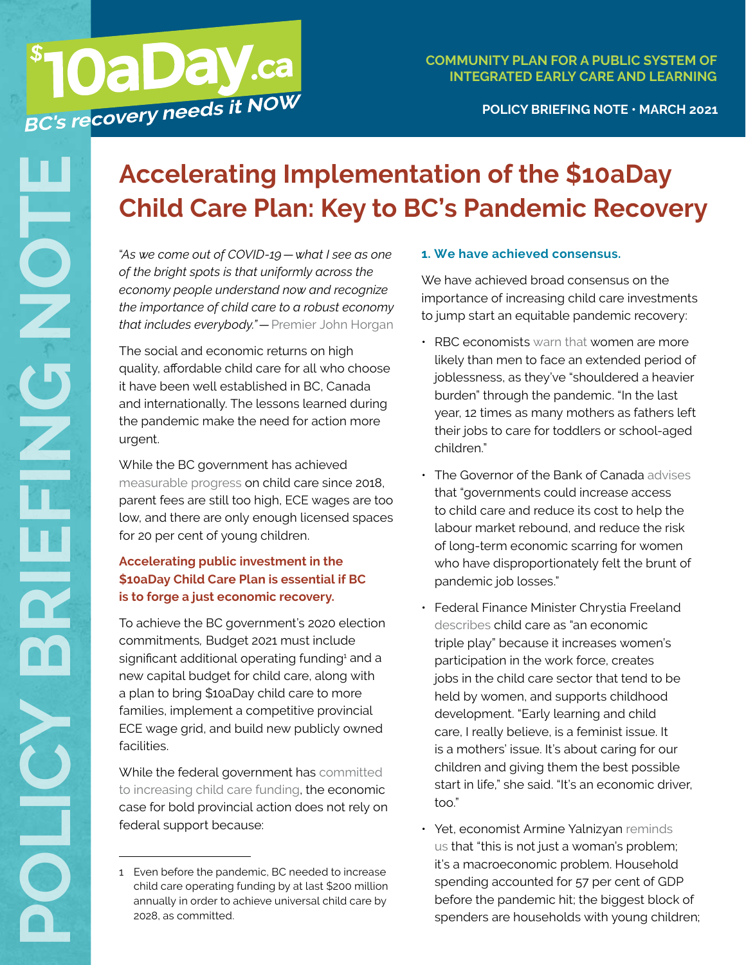## **COMMUNITY PLAN FOR A PUBLIC SYSTEM OF INTEGRATED EARLY CARE AND LEARNING**

## **POLICY BRIEFING NOTE • MARCH 2021**

# **Accelerating Implementation of the \$10aDay Child Care Plan: Key to BC's Pandemic Recovery**

*of the bright spots is that uniformly across the economy people understand now and recognize the importance of child care to a robust economy that includes everybody."—*[Premier John Horgan](https://www.youtube.com/watch?v=N2Vt_tYZMds)

The social and economic returns on high quality, affordable child care for all who choose it have been well established in BC, Canada and internationally. The lessons learned during the pandemic make the need for action more urgent.

While the BC government has achieved [measurable progress](https://www.policynote.ca/childcare-reality-check/) on child care since 2018, parent fees are still too high, ECE wages are too low, and there are only enough licensed spaces for 20 per cent of young children.

## **Accelerating public investment in the \$10aDay Child Care Plan is essential if BC is to forge a just economic recovery.**

**POLICY As we come out of COVID-19—what I see as one**<br>
of the bright spots is that uniformly accost the<br>
of coronomy people understand now and recognize<br>
that inctations e choicd care to a nobust ecconomy<br>
the importance o To achieve the BC government's 2020 election commitments*,* Budget 2021 must include significant additional operating funding<sup>1</sup> and a new capital budget for child care, along with a plan to bring \$10aDay child care to more families, implement a competitive provincial ECE wage grid, and build new publicly owned facilities.

While the federal government has [committed](https://www.canada.ca/en/privy-council/campaigns/speech-throne/2020/speech-from-the-throne.html)  [to increasing child care funding](https://www.canada.ca/en/privy-council/campaigns/speech-throne/2020/speech-from-the-throne.html), the economic case for bold provincial action does not rely on federal support because:

## **1. We have achieved consensus.**

We have achieved broad consensus on the importance of increasing child care investments to jump start an equitable pandemic recovery:

- RBC economists [warn that](https://thoughtleadership.rbc.com/covid-further-clouded-the-outlook-for-canadian-women-at-risk-of-disruption/?utm_medium=referral&utm_source=media&utm_campaign=special+report) women are more likely than men to face an extended period of joblessness, as they've "shouldered a heavier burden" through the pandemic. "In the last year, 12 times as many mothers as fathers left their jobs to care for toddlers or school-aged children."
- The Governor of the Bank of Canada [advises](https://globalnews.ca/news/7657547/bank-of-canada-macklem-child-care-education/) that "governments could increase access to child care and reduce its cost to help the labour market rebound, and reduce the risk of long-term economic scarring for women who have disproportionately felt the brunt of pandemic job losses."
- Federal Finance Minister Chrystia Freeland [describes](https://www.theglobeandmail.com/politics/article-freeland-announces-18-member-task-force-on-women-and-the-economy-ahead/?fbclid=IwAR2F1T1aBly8CdDloXg4AMZ2XWQGZL3kBPE-tVLEa4YdV2NBbST1Qbr3P1U) child care as "an economic triple play" because it increases women's participation in the work force, creates jobs in the child care sector that tend to be held by women, and supports childhood development. "Early learning and child care, I really believe, is a feminist issue. It is a mothers' issue. It's about caring for our children and giving them the best possible start in life," she said. "It's an economic driver, too."
- Yet, economist Armine Yalnizyan [reminds](https://www.macleans.ca/economy/charts-to-watch-in-2021-the-most-important-canadian-economic-charts-for-the-year-ahead/)  [us](https://www.macleans.ca/economy/charts-to-watch-in-2021-the-most-important-canadian-economic-charts-for-the-year-ahead/) that "this is not just a woman's problem; it's a macroeconomic problem. Household spending accounted for 57 per cent of GDP before the pandemic hit; the biggest block of spenders are households with young children;

<sup>1</sup> Even before the pandemic, BC needed to increase child care operating funding by at last \$200 million annually in order to achieve universal child care by 2028, as committed.